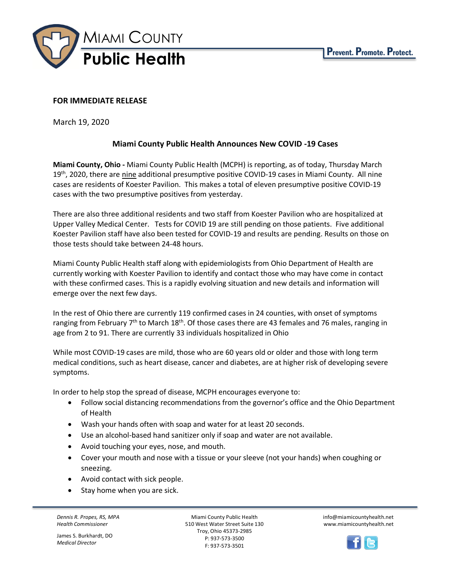

## **FOR IMMEDIATE RELEASE**

March 19, 2020

## **Miami County Public Health Announces New COVID -19 Cases**

**Miami County, Ohio -** Miami County Public Health (MCPH) is reporting, as of today, Thursday March 19<sup>th</sup>, 2020, there are nine additional presumptive positive COVID-19 cases in Miami County. All nine cases are residents of Koester Pavilion. This makes a total of eleven presumptive positive COVID-19 cases with the two presumptive positives from yesterday.

There are also three additional residents and two staff from Koester Pavilion who are hospitalized at Upper Valley Medical Center. Tests for COVID 19 are still pending on those patients. Five additional Koester Pavilion staff have also been tested for COVID-19 and results are pending. Results on those on those tests should take between 24-48 hours.

Miami County Public Health staff along with epidemiologists from Ohio Department of Health are currently working with Koester Pavilion to identify and contact those who may have come in contact with these confirmed cases. This is a rapidly evolving situation and new details and information will emerge over the next few days.

In the rest of Ohio there are currently 119 confirmed cases in 24 counties, with onset of symptoms ranging from February 7<sup>th</sup> to March 18<sup>th</sup>. Of those cases there are 43 females and 76 males, ranging in age from 2 to 91. There are currently 33 individuals hospitalized in Ohio

While most COVID-19 cases are mild, those who are 60 years old or older and those with long term medical conditions, such as heart disease, cancer and diabetes, are at higher risk of developing severe symptoms.

In order to help stop the spread of disease, MCPH encourages everyone to:

- Follow social distancing recommendations from the governor's office and the Ohio Department of Health
- Wash your hands often with soap and water for at least 20 seconds.
- Use an alcohol-based hand sanitizer only if soap and water are not available.
- Avoid touching your eyes, nose, and mouth.
- Cover your mouth and nose with a tissue or your sleeve (not your hands) when coughing or sneezing.
- Avoid contact with sick people.
- Stay home when you are sick.

*Dennis R. Propes, RS, MPA Health Commissioner*

James S. Burkhardt, DO *Medical Director*

Miami County Public Health 510 West Water Street Suite 130 Troy, Ohio 45373-2985 P: 937-573-3500 F: 937-573-3501

info@miamicountyhealth.net www.miamicountyhealth.net